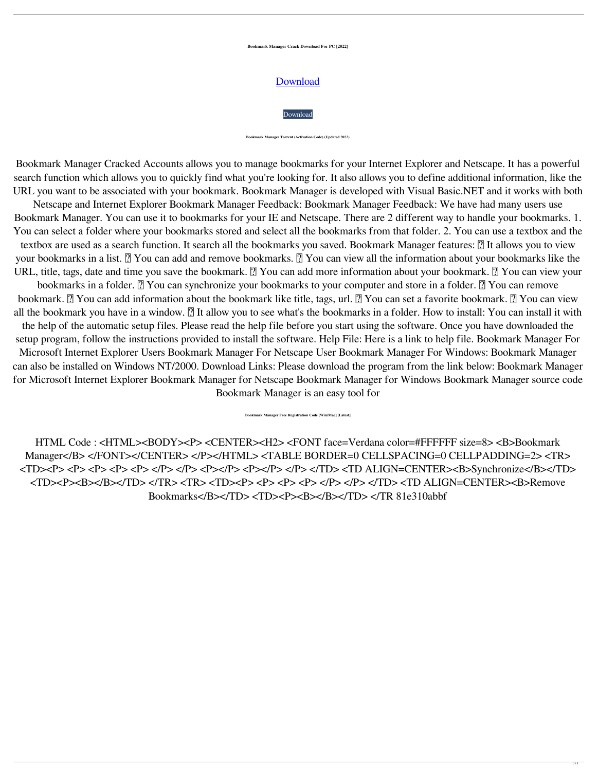**Bookmark Manager Crack Download For PC [2022]**

## **[Download](http://evacdir.com/faerie/neurovascular/ZG93bmxvYWR8cXY4WkRaaWZId3hOalUwTkRNMk5qVTRmSHd5TlRrd2ZId29UU2tnVjI5eVpIQnlaWE56SUZ0WVRVeFNVRU1nVmpJZ1VFUkdYUQ.impairment?Qm9va21hcmsgTWFuYWdlcgQm9=reagan&/schill)**



**Bookmark Manager Torrent (Activation Code) (Updated 2022)**

Bookmark Manager Cracked Accounts allows you to manage bookmarks for your Internet Explorer and Netscape. It has a powerful search function which allows you to quickly find what you're looking for. It also allows you to define additional information, like the URL you want to be associated with your bookmark. Bookmark Manager is developed with Visual Basic.NET and it works with both Netscape and Internet Explorer Bookmark Manager Feedback: Bookmark Manager Feedback: We have had many users use Bookmark Manager. You can use it to bookmarks for your IE and Netscape. There are 2 different way to handle your bookmarks. 1. You can select a folder where your bookmarks stored and select all the bookmarks from that folder. 2. You can use a textbox and the textbox are used as a search function. It search all the bookmarks you saved. Bookmark Manager features: **7** It allows you to view your bookmarks in a list. **A** You can add and remove bookmarks. **A** You can view all the information about your bookmarks like the URL, title, tags, date and time you save the bookmark.  $\Omega$  You can add more information about your bookmark.  $\Omega$  You can view your bookmarks in a folder. **A** You can synchronize your bookmarks to your computer and store in a folder. **A** You can remove bookmark.  $\mathbb{R}$  You can add information about the bookmark like title, tags, url.  $\mathbb{R}$  You can set a favorite bookmark.  $\mathbb{R}$  You can view all the bookmark you have in a window. **I** It allow you to see what's the bookmarks in a folder. How to install: You can install it with the help of the automatic setup files. Please read the help file before you start using the software. Once you have downloaded the setup program, follow the instructions provided to install the software. Help File: Here is a link to help file. Bookmark Manager For Microsoft Internet Explorer Users Bookmark Manager For Netscape User Bookmark Manager For Windows: Bookmark Manager can also be installed on Windows NT/2000. Download Links: Please download the program from the link below: Bookmark Manager for Microsoft Internet Explorer Bookmark Manager for Netscape Bookmark Manager for Windows Bookmark Manager source code Bookmark Manager is an easy tool for

**Bookmark Manager Free Registration Code [Win/Mac] [Latest]**

HTML Code : <HTML><BODY><P> <CENTER><H2> <FONT face=Verdana color=#FFFFFF size=8> <B>Bookmark Manager</B> </FONT></CENTER> </P></HTML> <TABLE BORDER=0 CELLSPACING=0 CELLPADDING=2> <TR> <TD><P> <P> <P> <P> <P> </P> </P> <P></P> <P></P> </P> </TD> <TD ALIGN=CENTER><B>Synchronize</B></TD> <TD><P><B></B></TD> </TR> <TR> <TD><P> <P> <P> <P> </P> </P> </TD> <TD ALIGN=CENTER><B>Remove Bookmarks</B></TD> <TD><P><B></B></TD> </TR 81e310abbf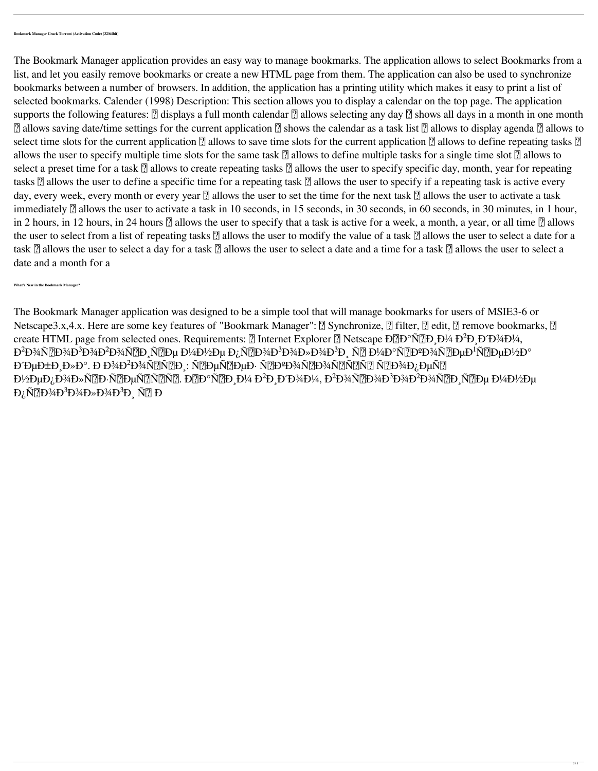The Bookmark Manager application was designed to be a simple tool that will manage bookmarks for users of MSIE3-6 or Netscape3.x,4.x. Here are some key features of "Bookmark Manager":  $\Omega$  Synchronize,  $\Omega$  filter,  $\Omega$  edit,  $\Omega$  remove bookmarks,  $\Omega$ create HTML page from selected ones. Requirements:  $\sqrt{2}$  Internet Explorer  $\sqrt{2}$  Netscape  $D\sqrt{2}D^{\circ}N\sqrt{2}D$ ,  $D\sqrt{2}D^{\circ}D\sqrt{2}D^{\circ}M\sqrt{2}D$ ,  $D\sqrt{2}D\sqrt{2}D^{\circ}M\sqrt{2}D$ Đ<sup>2</sup>Đ¾Ñ<u>?</u>D¾Đ<sup>3</sup>Đ¾Đ<sup>2</sup>Đ¾Ñ?D Ñ?Dµ Đ¼Đ½Đµ Đ¿Ñ?D¾Đ<sup>3</sup>Đ¾Đ»Đ¾Đ<sup>3</sup>Đ Ň? Đ¼Đ°Ñ?DºĐ¾Ñ?DµĐ<sup>1</sup>Ñ?DµĐ½Đ° ĐĐuбРла. Đ Đ¾Đ<sup>2</sup>Đ¾Ñ〗Ñ?D : Ñ?DµÑ?DµĐ·Ñ?DºĐ¾Ñ?]Đ¾Ñ?]Ñ?]Ñ?]Ñ?]D¾Đ¿ĐµÑ?] Đ½ĐμĐ¿Đ¾Đ»Ñ?]Đ·Ñ?]ĐμÑ?]Ñ?]. Đ?]аÑ?]Đ D¼ Đ<sup>2</sup>Đ D´Đ¾Đ¼, Đ<sup>2</sup>Đ¾Ñ?]Đ¾Đ<sup>3</sup>Đ¾Ď<sup>2</sup>Đ¾Ñ?]Đ Ň?]Đμ Đ¼Đ½Đμ  $D_i \tilde{N}$ <sup>7</sup> $D$ <sup>3</sup> $4D$ <sup>3</sup> $D$ <sup>3</sup> $4D$ <sup>3</sup> $D$ <sup>3</sup> $D_i$ <sub>1</sub> $\tilde{N}$ <sup>7</sup> $D_i$ <sub>1</sub> $D_i$ 

The Bookmark Manager application provides an easy way to manage bookmarks. The application allows to select Bookmarks from a list, and let you easily remove bookmarks or create a new HTML page from them. The application can also be used to synchronize bookmarks between a number of browsers. In addition, the application has a printing utility which makes it easy to print a list of selected bookmarks. Calender (1998) Description: This section allows you to display a calendar on the top page. The application supports the following features:  $\Omega$  displays a full month calendar  $\Omega$  allows selecting any day  $\Omega$  shows all days in a month in one month  $\Omega$  allows saving date/time settings for the current application  $\Omega$  shows the calendar as a task list  $\Omega$  allows to display agenda  $\Omega$  allows to select time slots for the current application  $\Omega$  allows to save time slots for the current application  $\Omega$  allows to define repeating tasks  $\Omega$ allows the user to specify multiple time slots for the same task  $\Omega$  allows to define multiple tasks for a single time slot  $\Omega$  allows to select a preset time for a task  $\Omega$  allows to create repeating tasks  $\Omega$  allows the user to specify specific day, month, year for repeating tasks  $\Omega$  allows the user to define a specific time for a repeating task  $\Omega$  allows the user to specify if a repeating task is active every day, every week, every month or every year  $\Omega$  allows the user to set the time for the next task  $\Omega$  allows the user to activate a task immediately  $\Omega$  allows the user to activate a task in 10 seconds, in 15 seconds, in 30 seconds, in 50 minutes, in 1 hour, in 2 hours, in 12 hours, in 24 hours  $\Omega$  allows the user to specify that a task is active for a week, a month, a year, or all time  $\Omega$  allows the user to select from a list of repeating tasks  $\Omega$  allows the user to modify the value of a task  $\Omega$  allows the user to select a date for a task  $\Omega$  allows the user to select a day for a task  $\Omega$  allows the user to select a date and a time for a task  $\Omega$  allows the user to select a date and a month for a